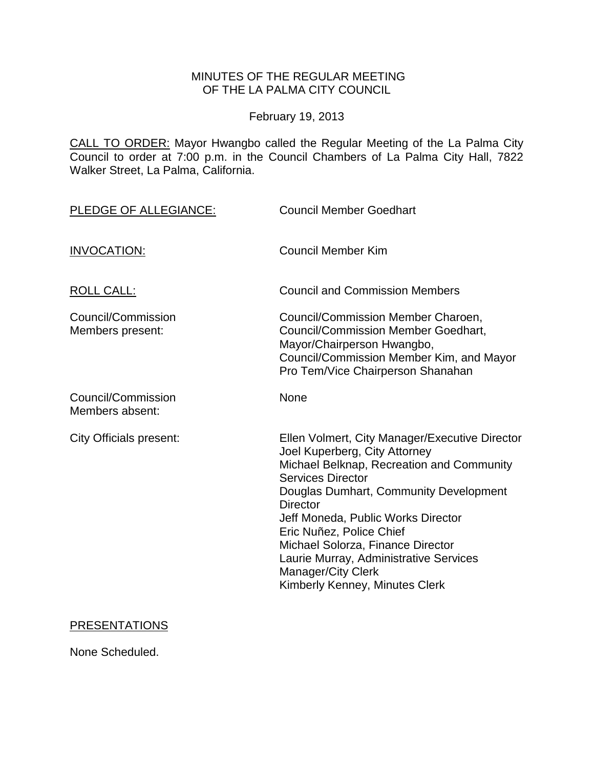# MINUTES OF THE REGULAR MEETING OF THE LA PALMA CITY COUNCIL

February 19, 2013

CALL TO ORDER: [Mayor Hwangbo called the Regular Meeting of the La Palma City](http://lapalma.granicus.com/MediaPlayerFrameHandler.php?view_id=&clip_id=722&meta_id=93453)  [Council to order at 7:00 p.m. in the Council Chambers of La Palma City Hall, 7822](http://lapalma.granicus.com/MediaPlayerFrameHandler.php?view_id=&clip_id=722&meta_id=93453)  [Walker Street, La Palma, California.](http://lapalma.granicus.com/MediaPlayerFrameHandler.php?view_id=&clip_id=722&meta_id=93453)

| PLEDGE OF ALLEGIANCE:                  | <b>Council Member Goedhart</b>                                                                                                                                                                                                                                                                                                                                                                                                        |
|----------------------------------------|---------------------------------------------------------------------------------------------------------------------------------------------------------------------------------------------------------------------------------------------------------------------------------------------------------------------------------------------------------------------------------------------------------------------------------------|
| <b>INVOCATION:</b>                     | <b>Council Member Kim</b>                                                                                                                                                                                                                                                                                                                                                                                                             |
| <b>ROLL CALL:</b>                      | <b>Council and Commission Members</b>                                                                                                                                                                                                                                                                                                                                                                                                 |
| Council/Commission<br>Members present: | Council/Commission Member Charoen,<br><b>Council/Commission Member Goedhart,</b><br>Mayor/Chairperson Hwangbo,<br>Council/Commission Member Kim, and Mayor<br>Pro Tem/Vice Chairperson Shanahan                                                                                                                                                                                                                                       |
| Council/Commission<br>Members absent:  | None                                                                                                                                                                                                                                                                                                                                                                                                                                  |
| <b>City Officials present:</b>         | Ellen Volmert, City Manager/Executive Director<br>Joel Kuperberg, City Attorney<br>Michael Belknap, Recreation and Community<br><b>Services Director</b><br>Douglas Dumhart, Community Development<br><b>Director</b><br>Jeff Moneda, Public Works Director<br>Eric Nuñez, Police Chief<br>Michael Solorza, Finance Director<br>Laurie Murray, Administrative Services<br><b>Manager/City Clerk</b><br>Kimberly Kenney, Minutes Clerk |

# PRESENTATIONS

None Scheduled.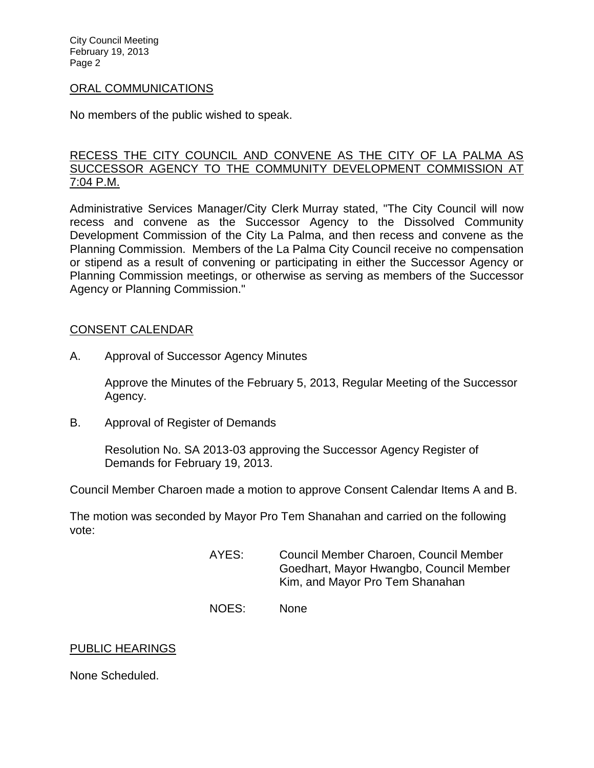#### [ORAL COMMUNICATIONS](http://lapalma.granicus.com/MediaPlayerFrameHandler.php?view_id=&clip_id=722&meta_id=93457)

No members of the public wished to speak.

#### [RECESS THE CITY COUNCIL AND CONVENE AS THE CITY OF LA PALMA AS](http://lapalma.granicus.com/MediaPlayerFrameHandler.php?view_id=&clip_id=722&meta_id=93459)  [SUCCESSOR AGENCY TO THE COMMUNITY DEVELOPMENT COMMISSION AT](http://lapalma.granicus.com/MediaPlayerFrameHandler.php?view_id=&clip_id=722&meta_id=93459)  [7:04 P.M.](http://lapalma.granicus.com/MediaPlayerFrameHandler.php?view_id=&clip_id=722&meta_id=93459)

Administrative Services Manager/City Clerk Murray stated, "The City Council will now recess and convene as the Successor Agency to the Dissolved Community Development Commission of the City La Palma, and then recess and convene as the Planning Commission. Members of the La Palma City Council receive no compensation or stipend as a result of convening or participating in either the Successor Agency or Planning Commission meetings, or otherwise as serving as members of the Successor Agency or Planning Commission."

#### [CONSENT CALENDAR](http://lapalma.granicus.com/MediaPlayerFrameHandler.php?view_id=&clip_id=722&meta_id=93461)

A. Approval of Successor Agency Minutes

Approve the Minutes of the February 5, 2013, Regular Meeting of the Successor Agency.

B. Approval of Register of Demands

Resolution No. SA 2013-03 approving the Successor Agency Register of Demands for February 19, 2013.

Council Member Charoen made a motion to approve Consent Calendar Items A and B.

The motion was seconded by Mayor Pro Tem Shanahan and carried on the following vote:

- AYES: Council Member Charoen, Council Member Goedhart, Mayor Hwangbo, Council Member Kim, and Mayor Pro Tem Shanahan
- NOES: None

#### PUBLIC HEARINGS

None Scheduled.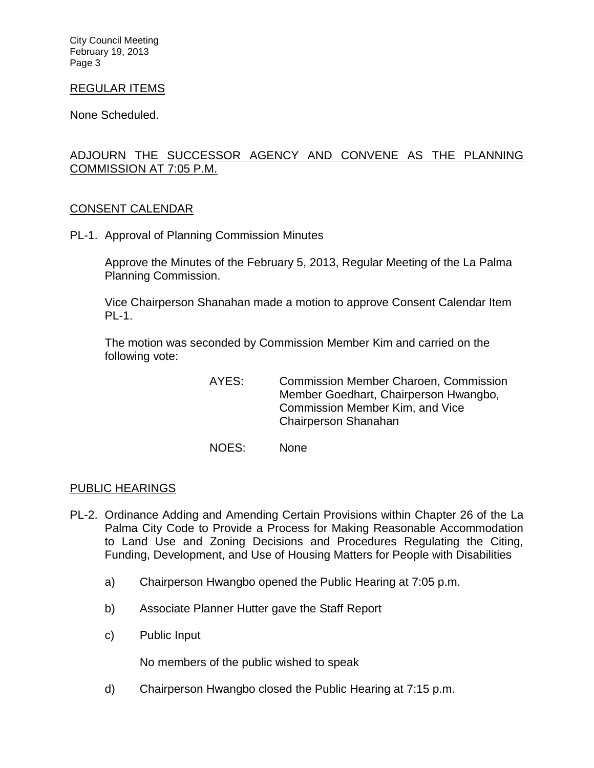#### REGULAR ITEMS

None Scheduled.

# [ADJOURN THE SUCCESSOR AGENCY AND CONVENE AS THE PLANNING](http://lapalma.granicus.com/MediaPlayerFrameHandler.php?view_id=&clip_id=722&meta_id=93465)  [COMMISSION AT 7:05 P.M.](http://lapalma.granicus.com/MediaPlayerFrameHandler.php?view_id=&clip_id=722&meta_id=93465)

#### [CONSENT CALENDAR](http://lapalma.granicus.com/MediaPlayerFrameHandler.php?view_id=&clip_id=722&meta_id=93466)

PL-1. Approval of Planning Commission Minutes

Approve the Minutes of the February 5, 2013, Regular Meeting of the La Palma Planning Commission.

Vice Chairperson Shanahan made a motion to approve Consent Calendar Item PL-1.

The motion was seconded by Commission Member Kim and carried on the following vote:

> AYES: Commission Member Charoen, Commission Member Goedhart, Chairperson Hwangbo, Commission Member Kim, and Vice Chairperson Shanahan

NOES: None

#### [PUBLIC HEARINGS](http://lapalma.granicus.com/MediaPlayerFrameHandler.php?view_id=&clip_id=722&meta_id=93469)

- PL-2. [Ordinance Adding and Amending Certain Provisions within Chapter 26 of the La](http://lapalma.granicus.com/MediaPlayerFrameHandler.php?view_id=&clip_id=722&meta_id=93470)  [Palma City Code to Provide a Process for Making Reasonable Accommodation](http://lapalma.granicus.com/MediaPlayerFrameHandler.php?view_id=&clip_id=722&meta_id=93470)  [to Land Use and Zoning Decisions and Procedures Regulating the Citing,](http://lapalma.granicus.com/MediaPlayerFrameHandler.php?view_id=&clip_id=722&meta_id=93470)  [Funding, Development, and Use of Housing Matters for People with Disabilities](http://lapalma.granicus.com/MediaPlayerFrameHandler.php?view_id=&clip_id=722&meta_id=93470) 
	- a) [Chairperson Hwangbo opened the Public Hearing at 7:05 p.m.](http://lapalma.granicus.com/MediaPlayerFrameHandler.php?view_id=&clip_id=722&meta_id=93471)
	- b) Associate Planner [Hutter gave the Staff Report](http://lapalma.granicus.com/MediaPlayerFrameHandler.php?view_id=&clip_id=722&meta_id=93472)
	- c) [Public Input](http://lapalma.granicus.com/MediaPlayerFrameHandler.php?view_id=&clip_id=722&meta_id=93473)

No members of the public wished to speak

d) [Chairperson Hwangbo closed the Public Hearing at 7:15 p.m.](http://lapalma.granicus.com/MediaPlayerFrameHandler.php?view_id=&clip_id=722&meta_id=93474)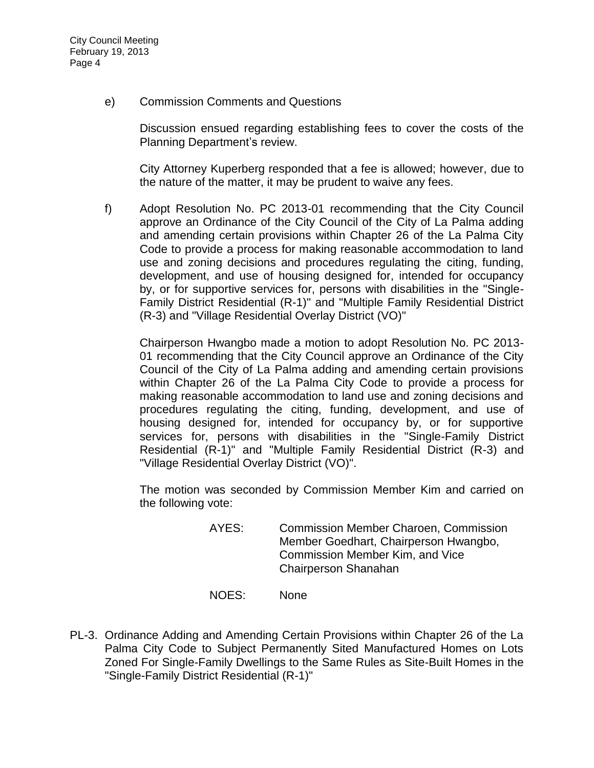e) [Commission Comments and Questions](http://lapalma.granicus.com/MediaPlayerFrameHandler.php?view_id=&clip_id=722&meta_id=93475) 

Discussion ensued regarding establishing fees to cover the costs of the Planning Department's review.

City Attorney Kuperberg responded that a fee is allowed; however, due to the nature of the matter, it may be prudent to waive any fees.

f) Adopt Resolution No. PC 2013-01 recommending that the City Council approve an Ordinance of the City Council of the City of La Palma adding and amending certain provisions within Chapter 26 of the La Palma City Code to provide a process for making reasonable accommodation to land use and zoning decisions and procedures regulating the citing, funding, development, and use of housing designed for, intended for occupancy by, or for supportive services for, persons with disabilities in the "Single-Family District Residential (R-1)" and "Multiple Family Residential District (R-3) and "Village Residential Overlay District (VO)"

Chairperson Hwangbo made a motion to adopt Resolution No. PC 2013- 01 recommending that the City Council approve an Ordinance of the City Council of the City of La Palma adding and amending certain provisions within Chapter 26 of the La Palma City Code to provide a process for making reasonable accommodation to land use and zoning decisions and procedures regulating the citing, funding, development, and use of housing designed for, intended for occupancy by, or for supportive services for, persons with disabilities in the "Single-Family District Residential (R-1)" and "Multiple Family Residential District (R-3) and "Village Residential Overlay District (VO)".

The motion was seconded by Commission Member Kim and carried on the following vote:

- AYES: Commission Member Charoen, Commission Member Goedhart, Chairperson Hwangbo, Commission Member Kim, and Vice Chairperson Shanahan
- NOES: None
- PL-3. [Ordinance Adding and Amending Certain Provisions within Chapter 26 of the La](http://lapalma.granicus.com/MediaPlayerFrameHandler.php?view_id=&clip_id=722&meta_id=93477)  [Palma City Code to Subject Permanently Sited Manufactured Homes on Lots](http://lapalma.granicus.com/MediaPlayerFrameHandler.php?view_id=&clip_id=722&meta_id=93477)  [Zoned For Single-Family Dwellings to the Same Rules as Site-Built Homes in the](http://lapalma.granicus.com/MediaPlayerFrameHandler.php?view_id=&clip_id=722&meta_id=93477)  ["Single-Family District Residential \(R-1\)"](http://lapalma.granicus.com/MediaPlayerFrameHandler.php?view_id=&clip_id=722&meta_id=93477)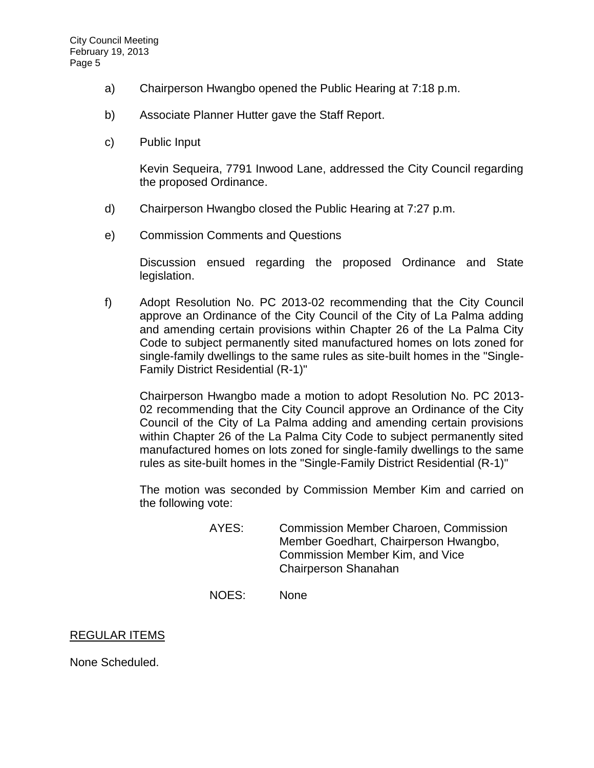- a) [Chairperson Hwangbo opened the Public Hearing at 7:18 p.m.](http://lapalma.granicus.com/MediaPlayerFrameHandler.php?view_id=&clip_id=722&meta_id=93478)
- b) [Associate Planner Hutter gave the Staff Report.](http://lapalma.granicus.com/MediaPlayerFrameHandler.php?view_id=&clip_id=722&meta_id=93479)
- c) [Public Input](http://lapalma.granicus.com/MediaPlayerFrameHandler.php?view_id=&clip_id=722&meta_id=93480)

Kevin Sequeira, 7791 Inwood Lane, addressed the City Council regarding the proposed Ordinance.

- d) [Chairperson Hwangbo closed the Public Hearing at](http://lapalma.granicus.com/MediaPlayerFrameHandler.php?view_id=&clip_id=722&meta_id=93481) 7:27 p.m.
- e) [Commission Comments and Questions](http://lapalma.granicus.com/MediaPlayerFrameHandler.php?view_id=&clip_id=722&meta_id=93482)

Discussion ensued regarding the proposed Ordinance and State legislation.

f) Adopt Resolution No. PC 2013-02 recommending that the City Council approve an Ordinance of the City Council of the City of La Palma adding and amending certain provisions within Chapter 26 of the La Palma City Code to subject permanently sited manufactured homes on lots zoned for single-family dwellings to the same rules as site-built homes in the "Single-Family District Residential (R-1)"

Chairperson Hwangbo made a motion to adopt Resolution No. PC 2013- 02 recommending that the City Council approve an Ordinance of the City Council of the City of La Palma adding and amending certain provisions within Chapter 26 of the La Palma City Code to subject permanently sited manufactured homes on lots zoned for single-family dwellings to the same rules as site-built homes in the "Single-Family District Residential (R-1)"

The motion was seconded by Commission Member Kim and carried on the following vote:

- AYES: Commission Member Charoen, Commission Member Goedhart, Chairperson Hwangbo, Commission Member Kim, and Vice Chairperson Shanahan
- NOES: None

## REGULAR ITEMS

None Scheduled.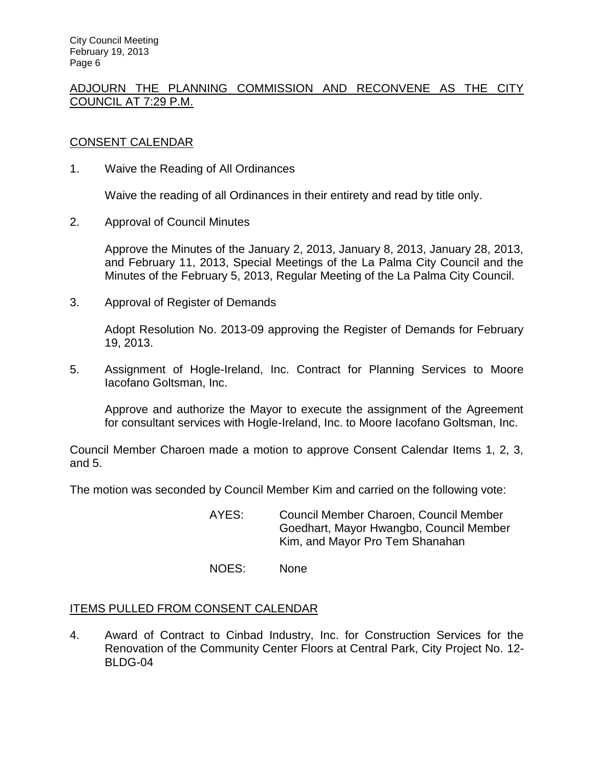# [ADJOURN THE PLANNING COMMISSION AND RECONVENE AS THE CITY](http://lapalma.granicus.com/MediaPlayerFrameHandler.php?view_id=&clip_id=722&meta_id=93495)  [COUNCIL AT](http://lapalma.granicus.com/MediaPlayerFrameHandler.php?view_id=&clip_id=722&meta_id=93495) 7:29 P.M.

## [CONSENT CALENDAR](http://lapalma.granicus.com/MediaPlayerFrameHandler.php?view_id=&clip_id=722&meta_id=93496)

1. Waive the Reading of All Ordinances

Waive the reading of all Ordinances in their entirety and read by title only.

2. Approval of Council Minutes

Approve the Minutes of the January 2, 2013, January 8, 2013, January 28, 2013, and February 11, 2013, Special Meetings of the La Palma City Council and the Minutes of the February 5, 2013, Regular Meeting of the La Palma City Council.

3. Approval of Register of Demands

Adopt Resolution No. 2013-09 approving the Register of Demands for February 19, 2013.

5. Assignment of Hogle-Ireland, Inc. Contract for Planning Services to Moore Iacofano Goltsman, Inc.

Approve and authorize the Mayor to execute the assignment of the Agreement for consultant services with Hogle-Ireland, Inc. to Moore Iacofano Goltsman, Inc.

Council Member Charoen made a motion to approve Consent Calendar Items 1, 2, 3, and 5.

The motion was seconded by Council Member Kim and carried on the following vote:

AYES: Council Member Charoen, Council Member Goedhart, Mayor Hwangbo, Council Member Kim, and Mayor Pro Tem Shanahan

NOES: None

## ITEMS PULLED FROM CONSENT CALENDAR

4. [Award of Contract to Cinbad Industry, Inc. for Construction Services for the](http://lapalma.granicus.com/MediaPlayerFrameHandler.php?view_id=&clip_id=722&meta_id=93503)  [Renovation of the Community Center Floors at Central Park, City Project No.](http://lapalma.granicus.com/MediaPlayerFrameHandler.php?view_id=&clip_id=722&meta_id=93503) 12- [BLDG-04](http://lapalma.granicus.com/MediaPlayerFrameHandler.php?view_id=&clip_id=722&meta_id=93503)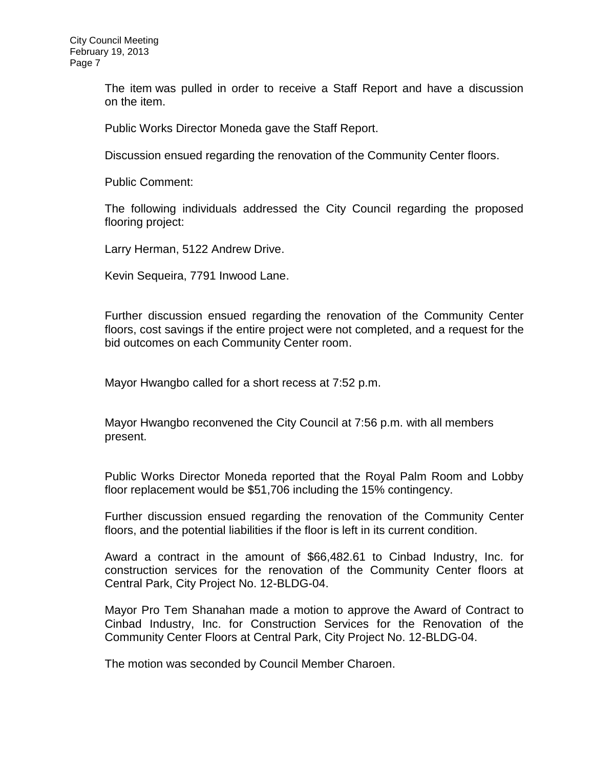The item was pulled in order to receive a Staff Report and have a discussion on the item.

Public Works Director Moneda gave the Staff Report.

Discussion ensued regarding the renovation of the Community Center floors.

Public Comment:

The following individuals addressed the City Council regarding the proposed flooring project:

Larry Herman, 5122 Andrew Drive.

Kevin Sequeira, 7791 Inwood Lane.

Further discussion ensued regarding the renovation of the Community Center floors, cost savings if the entire project were not completed, and a request for the bid outcomes on each Community Center room.

Mayor Hwangbo called for a short recess at 7:52 p.m.

Mayor Hwangbo reconvened the City Council at 7:56 p.m. with all members present.

Public Works Director Moneda reported that the Royal Palm Room and Lobby floor replacement would be \$51,706 including the 15% contingency.

Further discussion ensued regarding the renovation of the Community Center floors, and the potential liabilities if the floor is left in its current condition.

Award a contract in the amount of \$66,482.61 to Cinbad Industry, Inc. for construction services for the renovation of the Community Center floors at Central Park, City Project No. 12-BLDG-04.

Mayor Pro Tem Shanahan made a motion to approve the Award of Contract to Cinbad Industry, Inc. for Construction Services for the Renovation of the Community Center Floors at Central Park, City Project No. 12-BLDG-04.

The motion was seconded by Council Member Charoen.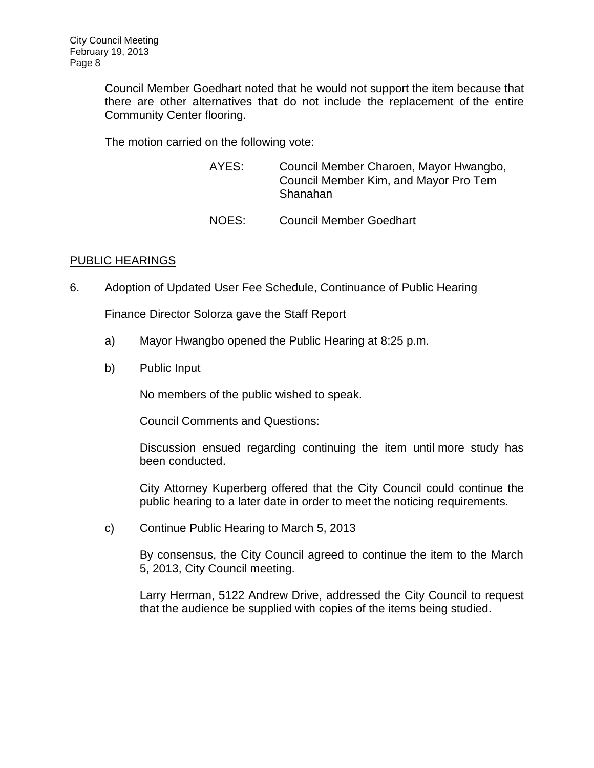Council Member Goedhart noted that he would not support the item because that there are other alternatives that do not include the replacement of the entire Community Center flooring.

The motion carried on the following vote:

| AYES: | Council Member Charoen, Mayor Hwangbo,<br>Council Member Kim, and Mayor Pro Tem<br>Shanahan |
|-------|---------------------------------------------------------------------------------------------|
| NOES: | <b>Council Member Goedhart</b>                                                              |

## [PUBLIC HEARINGS](http://lapalma.granicus.com/MediaPlayerFrameHandler.php?view_id=&clip_id=722&meta_id=93521)

6. [Adoption of Updated User Fee Schedule, Continuance of Public Hearing](http://lapalma.granicus.com/MediaPlayerFrameHandler.php?view_id=&clip_id=722&meta_id=93522) 

Finance Director Solorza gave the Staff Report

- a) [Mayor Hwangbo opened the Public Hearing at 8:25 p.m.](http://lapalma.granicus.com/MediaPlayerFrameHandler.php?view_id=&clip_id=722&meta_id=93523)
- b) [Public Input](http://lapalma.granicus.com/MediaPlayerFrameHandler.php?view_id=&clip_id=722&meta_id=93524)

No members of the public wished to speak.

Council Comments and Questions:

Discussion ensued regarding continuing the item until more study has been conducted.

City Attorney Kuperberg offered that the City Council could continue the public hearing to a later date in order to meet the noticing requirements.

c) Continue Public Hearing to March 5, 2013

By consensus, the City Council agreed to continue the item to the March 5, 2013, City Council meeting.

Larry Herman, 5122 Andrew Drive, addressed the City Council to request that the audience be supplied with copies of the items being studied.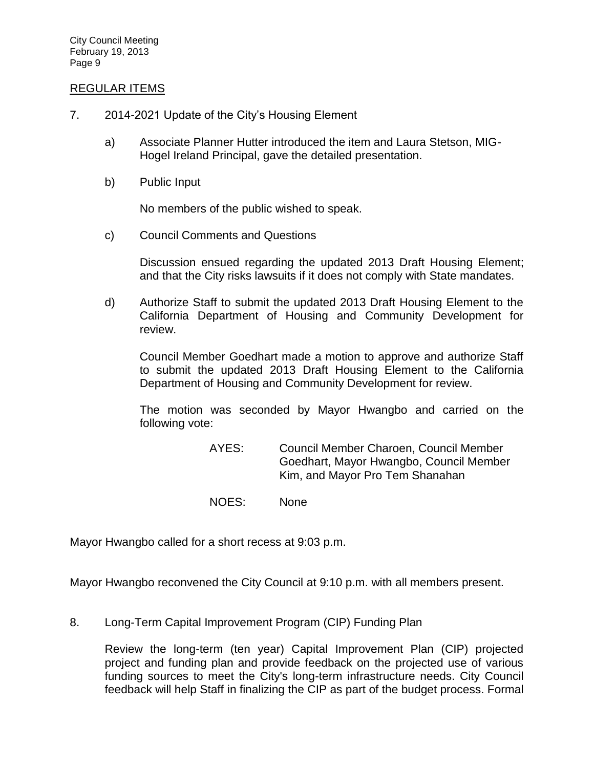#### [REGULAR ITEMS](http://lapalma.granicus.com/MediaPlayerFrameHandler.php?view_id=&clip_id=722&meta_id=93530)

- 7. [2014-2021 Update of the City's Housing Element](http://lapalma.granicus.com/MediaPlayerFrameHandler.php?view_id=&clip_id=722&meta_id=93531) 
	- a) [Associate Planner Hutter introduced the item and Laura Stetson, MIG-](http://lapalma.granicus.com/MediaPlayerFrameHandler.php?view_id=&clip_id=722&meta_id=93532)[Hogel Ireland Principal, gave the detailed presentation.](http://lapalma.granicus.com/MediaPlayerFrameHandler.php?view_id=&clip_id=722&meta_id=93532)
	- b) [Public Input](http://lapalma.granicus.com/MediaPlayerFrameHandler.php?view_id=&clip_id=722&meta_id=93533)

No members of the public wished to speak.

c) [Council Comments and Questions](http://lapalma.granicus.com/MediaPlayerFrameHandler.php?view_id=&clip_id=722&meta_id=93534) 

Discussion ensued regarding the updated 2013 Draft Housing Element; and that the City risks lawsuits if it does not comply with State mandates.

d) Authorize Staff to submit the updated 2013 Draft Housing Element to the California Department of Housing and Community Development for review.

Council Member Goedhart made a motion to approve and authorize Staff to submit the updated 2013 Draft Housing Element to the California Department of Housing and Community Development for review.

The motion was seconded by Mayor Hwangbo and carried on the following vote:

> AYES: Council Member Charoen, Council Member Goedhart, Mayor Hwangbo, Council Member Kim, and Mayor Pro Tem Shanahan

NOES: None

Mayor Hwangbo called for a short recess at 9:03 p.m.

Mayor Hwangbo reconvened the City Council at 9:10 p.m. with all members present.

8. [Long-Term Capital Improvement Program \(CIP\) Funding Plan](http://lapalma.granicus.com/MediaPlayerFrameHandler.php?view_id=&clip_id=722&meta_id=93536) 

Review the long-term (ten year) Capital Improvement Plan (CIP) projected project and funding plan and provide feedback on the projected use of various funding sources to meet the City's long-term infrastructure needs. City Council feedback will help Staff in finalizing the CIP as part of the budget process. Formal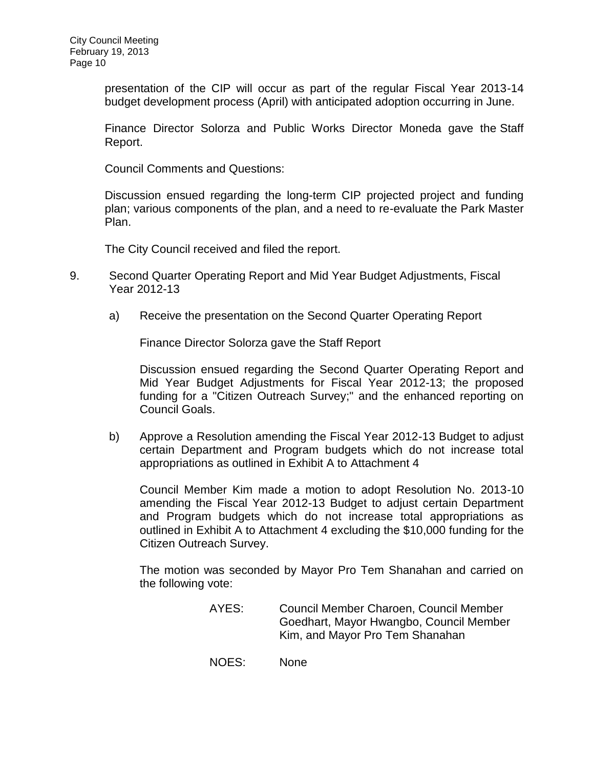presentation of the CIP will occur as part of the regular Fiscal Year 2013-14 budget development process (April) with anticipated adoption occurring in June.

Finance Director Solorza and Public Works Director Moneda gave the Staff Report.

Council Comments and Questions:

Discussion ensued regarding the long-term CIP projected project and funding plan; various components of the plan, and a need to re-evaluate the Park Master Plan.

The City Council received and filed the report.

- 9. [Second Quarter Operating Report and Mid Year Budget Adjustments, Fiscal](http://lapalma.granicus.com/MediaPlayerFrameHandler.php?view_id=&clip_id=722&meta_id=93539)  [Year 2012-13](http://lapalma.granicus.com/MediaPlayerFrameHandler.php?view_id=&clip_id=722&meta_id=93539) 
	- a) Receive the presentation on the Second Quarter Operating Report

Finance Director Solorza gave the Staff Report

Discussion ensued regarding the Second Quarter Operating Report and Mid Year Budget Adjustments for Fiscal Year 2012-13; the proposed funding for a "Citizen Outreach Survey;" and the enhanced reporting on Council Goals.

b) Approve a Resolution amending the Fiscal Year 2012-13 Budget to adjust certain Department and Program budgets which do not increase total appropriations as outlined in Exhibit A to Attachment 4

Council Member Kim made a motion to adopt Resolution No. 2013-10 amending the Fiscal Year 2012-13 Budget to adjust certain Department and Program budgets which do not increase total appropriations as outlined in Exhibit A to Attachment 4 excluding the \$10,000 funding for the Citizen Outreach Survey.

The motion was seconded by Mayor Pro Tem Shanahan and carried on the following vote:

- AYES: Council Member Charoen, Council Member Goedhart, Mayor Hwangbo, Council Member Kim, and Mayor Pro Tem Shanahan
- NOES: None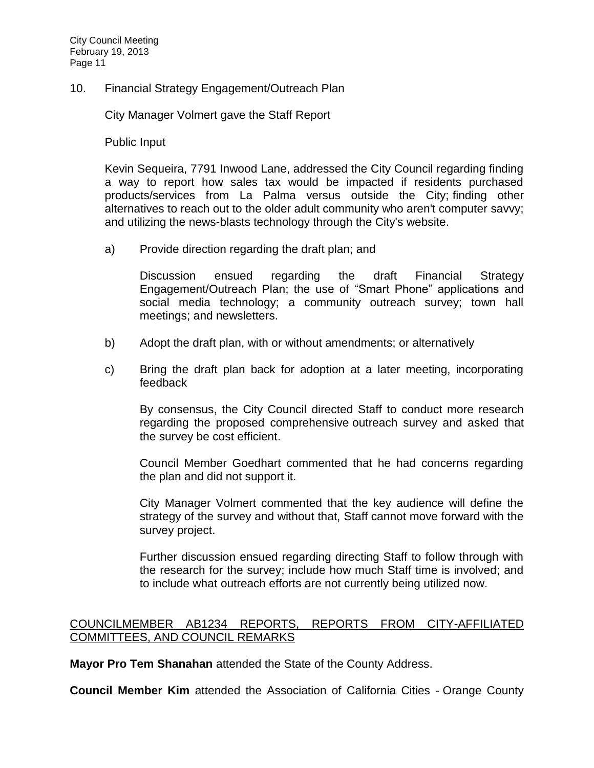10. [Financial Strategy Engagement/Outreach Plan](http://lapalma.granicus.com/MediaPlayerFrameHandler.php?view_id=&clip_id=722&meta_id=93543) 

City Manager Volmert gave the Staff Report

Public Input

Kevin Sequeira, 7791 Inwood Lane, addressed the City Council regarding finding a way to report how sales tax would be impacted if residents purchased products/services from La Palma versus outside the City; finding other alternatives to reach out to the older adult community who aren't computer savvy; and utilizing the news-blasts technology through the City's website.

a) Provide direction regarding the draft plan; and

Discussion ensued regarding the draft Financial Strategy Engagement/Outreach Plan; the use of "Smart Phone" applications and social media technology; a community outreach survey; town hall meetings; and newsletters.

- b) Adopt the draft plan, with or without amendments; or alternatively
- c) Bring the draft plan back for adoption at a later meeting, incorporating feedback

By consensus, the City Council directed Staff to conduct more research regarding the proposed comprehensive outreach survey and asked that the survey be cost efficient.

Council Member Goedhart commented that he had concerns regarding the plan and did not support it.

City Manager Volmert commented that the key audience will define the strategy of the survey and without that, Staff cannot move forward with the survey project.

Further discussion ensued regarding directing Staff to follow through with the research for the survey; include how much Staff time is involved; and to include what outreach efforts are not currently being utilized now.

## [COUNCILMEMBER AB1234 REPORTS, REPORTS FROM CITY-AFFILIATED](http://lapalma.granicus.com/MediaPlayerFrameHandler.php?view_id=&clip_id=722&meta_id=93574)  [COMMITTEES, AND COUNCIL REMARKS](http://lapalma.granicus.com/MediaPlayerFrameHandler.php?view_id=&clip_id=722&meta_id=93574)

**Mayor Pro Tem Shanahan** attended the State of the County Address.

**Council Member Kim** attended the Association of California Cities - Orange County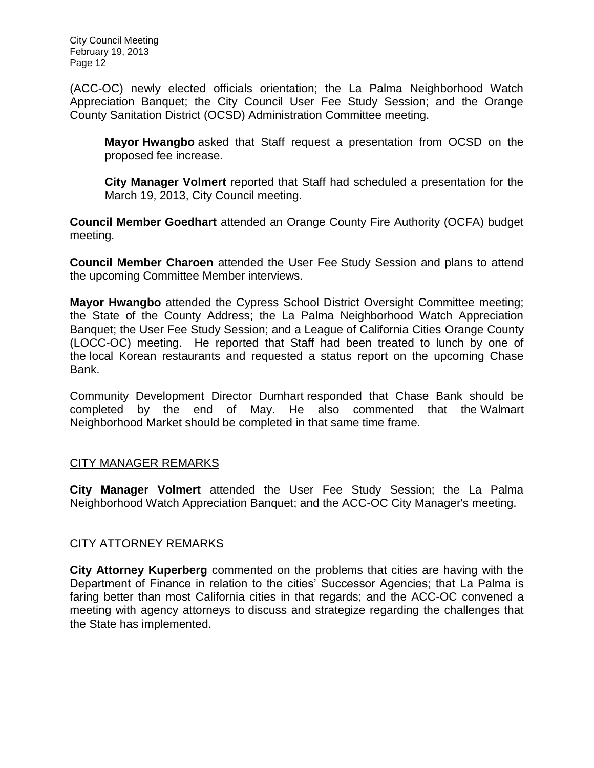(ACC-OC) newly elected officials orientation; the La Palma Neighborhood Watch Appreciation Banquet; the City Council User Fee Study Session; and the Orange County Sanitation District (OCSD) Administration Committee meeting.

**Mayor Hwangbo** asked that Staff request a presentation from OCSD on the proposed fee increase.

**City Manager Volmert** reported that Staff had scheduled a presentation for the March 19, 2013, City Council meeting.

**Council Member Goedhart** attended an Orange County Fire Authority (OCFA) budget meeting.

**Council Member Charoen** attended the User Fee Study Session and plans to attend the upcoming Committee Member interviews.

**Mayor Hwangbo** attended the Cypress School District Oversight Committee meeting; the State of the County Address; the La Palma Neighborhood Watch Appreciation Banquet; the User Fee Study Session; and a League of California Cities Orange County (LOCC-OC) meeting. He reported that Staff had been treated to lunch by one of the local Korean restaurants and requested a status report on the upcoming Chase Bank.

Community Development Director Dumhart responded that Chase Bank should be completed by the end of May. He also commented that the Walmart Neighborhood Market should be completed in that same time frame.

## [CITY MANAGER REMARKS](http://lapalma.granicus.com/MediaPlayerFrameHandler.php?view_id=&clip_id=722&meta_id=93582)

**City Manager Volmert** attended the User Fee Study Session; the La Palma Neighborhood Watch Appreciation Banquet; and the ACC-OC City Manager's meeting.

## [CITY ATTORNEY REMARKS](http://lapalma.granicus.com/MediaPlayerFrameHandler.php?view_id=&clip_id=722&meta_id=93584)

**City Attorney Kuperberg** commented on the problems that cities are having with the Department of Finance in relation to the cities' Successor Agencies; that La Palma is faring better than most California cities in that regards; and the ACC-OC convened a meeting with agency attorneys to discuss and strategize regarding the challenges that the State has implemented.